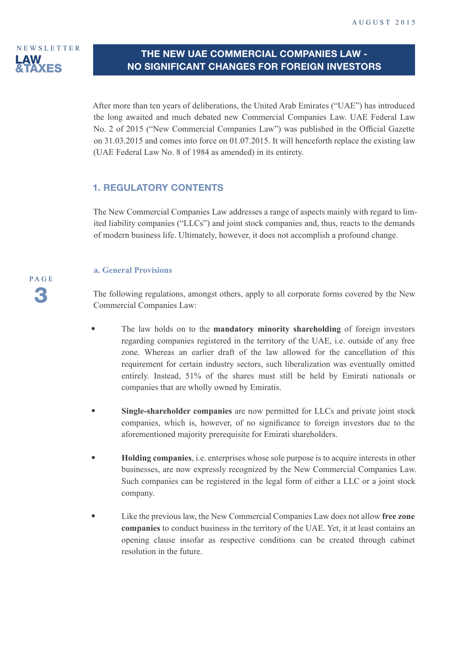

## **THE NEW UAE COMMERCIAL COMPANIES LAW - NO SIGNIFICANT CHANGES FOR FOREIGN INVESTORS**

After more than ten years of deliberations, the United Arab Emirates ("UAE") has introduced the long awaited and much debated new Commercial Companies Law. UAE Federal Law No. 2 of 2015 ("New Commercial Companies Law") was published in the Official Gazette on 31.03.2015 and comes into force on 01.07.2015. It will henceforth replace the existing law (UAE Federal Law No. 8 of 1984 as amended) in its entirety.

## **1. REGULATORY CONTENTS**

The New Commercial Companies Law addresses a range of aspects mainly with regard to limited liability companies ("LLCs") and joint stock companies and, thus, reacts to the demands of modern business life. Ultimately, however, it does not accomplish a profound change.

#### **a. General Provisions**

The following regulations, amongst others, apply to all corporate forms covered by the New Commercial Companies Law:

- The law holds on to the **mandatory minority shareholding** of foreign investors regarding companies registered in the territory of the UAE, i.e. outside of any free zone. Whereas an earlier draft of the law allowed for the cancellation of this requirement for certain industry sectors, such liberalization was eventually omitted entirely. Instead, 51% of the shares must still be held by Emirati nationals or companies that are wholly owned by Emiratis.
- **Single-shareholder companies** are now permitted for LLCs and private joint stock companies, which is, however, of no significance to foreign investors due to the aforementioned majority prerequisite for Emirati shareholders.
- t **Holding companies**, i.e. enterprises whose sole purpose is to acquire interests in other businesses, are now expressly recognized by the New Commercial Companies Law. Such companies can be registered in the legal form of either a LLC or a joint stock company.
- **t** Like the previous law, the New Commercial Companies Law does not allow free zone  **companies** to conduct business in the territory of the UAE. Yet, it at least contains an opening clause insofar as respective conditions can be created through cabinet resolution in the future.

PAGE 3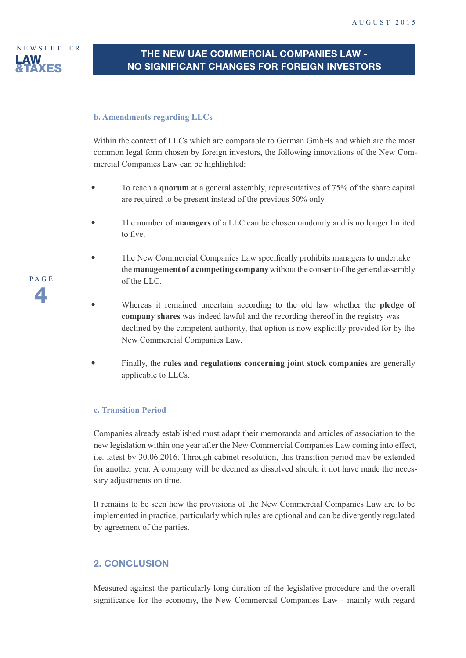

# **THE NEW UAE COMMERCIAL COMPANIES LAW - NO SIGNIFICANT CHANGES FOR FOREIGN INVESTORS**

#### **b. Amendments regarding LLCs**

Within the context of LLCs which are comparable to German GmbHs and which are the most common legal form chosen by foreign investors, the following innovations of the New Commercial Companies Law can be highlighted:

- To reach a **quorum** at a general assembly, representatives of 75% of the share capital are required to be present instead of the previous 50% only.
- t The number of **managers** of a LLC can be chosen randomly and is no longer limited to five.
- The New Commercial Companies Law specifically prohibits managers to undertake the **management of a competing company** without the consent of the general assembly of the LLC.
- Whereas it remained uncertain according to the old law whether the **pledge of company shares** was indeed lawful and the recording thereof in the registry was declined by the competent authority, that option is now explicitly provided for by the New Commercial Companies Law.
- t Finally, the **rules and regulations concerning joint stock companies** are generally applicable to LLCs.

#### **c. Transition Period**

Companies already established must adapt their memoranda and articles of association to the new legislation within one year after the New Commercial Companies Law coming into effect, i.e. latest by 30.06.2016. Through cabinet resolution, this transition period may be extended for another year. A company will be deemed as dissolved should it not have made the necessary adjustments on time.

It remains to be seen how the provisions of the New Commercial Companies Law are to be implemented in practice, particularly which rules are optional and can be divergently regulated by agreement of the parties.

#### **2. CONCLUSION**

Measured against the particularly long duration of the legislative procedure and the overall significance for the economy, the New Commercial Companies Law - mainly with regard

PAGE  $\sqrt{2}$